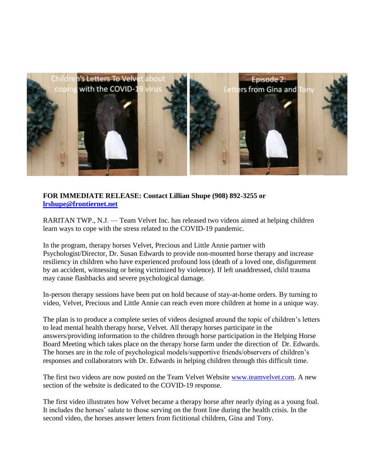

## **FOR IMMEDIATE RELEASE: Contact Lillian Shupe (908) 892-3255 or [lrshupe@frontiernet.net](mailto:lrshupe@frontiernet.net)**

RARITAN TWP., N.J. — Team Velvet Inc. has released two videos aimed at helping children learn ways to cope with the stress related to the COVID-19 pandemic.

In the program, therapy horses Velvet, Precious and Little Annie partner with Psychologist/Director, Dr. Susan Edwards to provide non-mounted horse therapy and increase resiliency in children who have experienced profound loss (death of a loved one, disfigurement by an accident, witnessing or being victimized by violence). If left unaddressed, child trauma may cause flashbacks and severe psychological damage.

In-person therapy sessions have been put on hold because of stay-at-home orders. By turning to video, Velvet, Precious and Little Annie can reach even more children at home in a unique way.

The plan is to produce a complete series of videos designed around the topic of children's letters to lead mental health therapy horse, Velvet. All therapy horses participate in the answers/providing information to the children through horse participation in the Helping Horse Board Meeting which takes place on the therapy horse farm under the direction of Dr. Edwards. The horses are in the role of psychological models/supportive friends/observers of children's responses and collaborators with Dr. Edwards in helping children through this difficult time.

The first two videos are now posted on the Team Velvet Website [www.teamvelvet.com.](http://www.teamvelvet.com/) A new section of the website is dedicated to the COVID-19 response.

The first video illustrates how Velvet became a therapy horse after nearly dying as a young foal. It includes the horses' salute to those serving on the front line during the health crisis. In the second video, the horses answer letters from fictitional children, Gina and Tony.